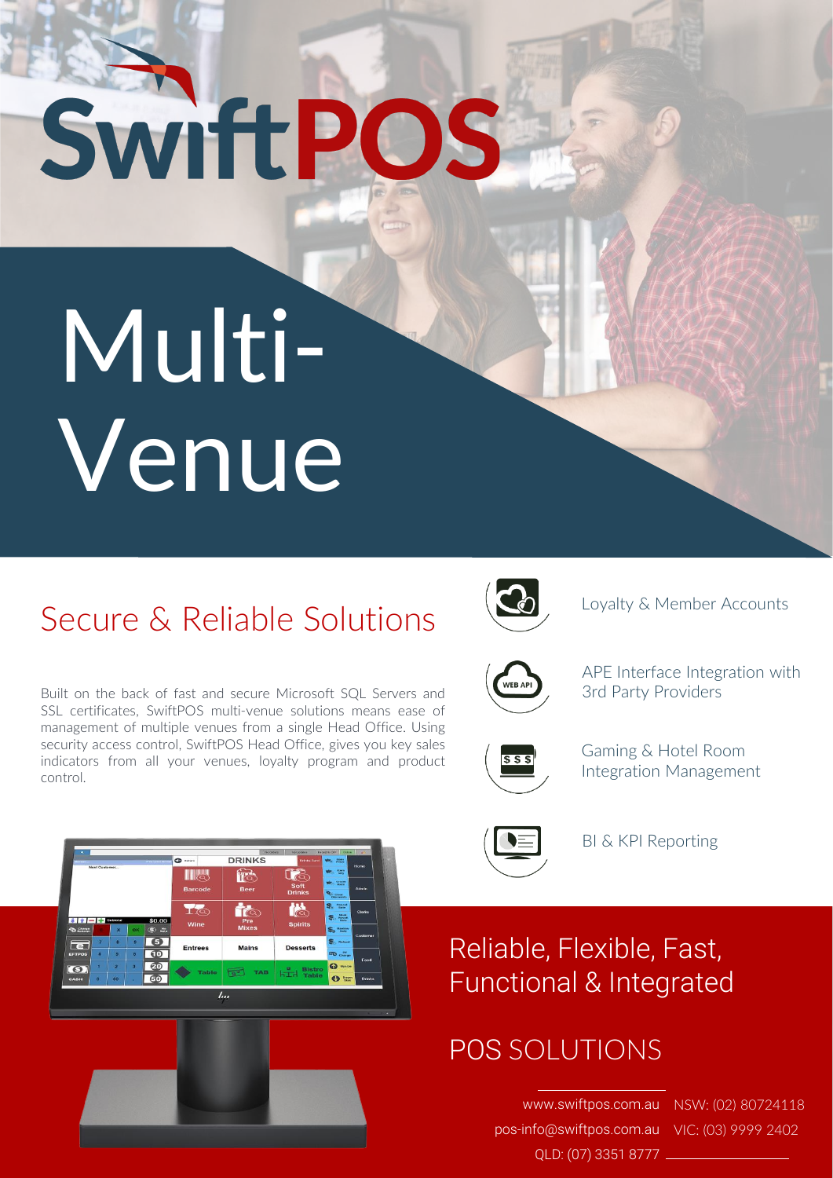# SwiftPOS

## Multi-Venue

#### Secure & Reliable Solutions



Loyalty & Member Accounts



APE Interface Integration with 3rd Party Providers



Gaming & Hotel Room Integration Management



BI & KPI Reporting

Reliable, Flexible, Fast, Functional & Integrated

#### POS SOLUTIONS

www.swiftpos.com.au NSW: (02) 80724118 pos-info@swiftpos.com.au VIC: (03) 9999 2402 QLD: (07) 3351 8777

Built on the back of fast and secure Microsoft SQL Servers and SSL certificates, SwiftPOS multi-venue solutions means ease of management of multiple venues from a single Head Office. Using security access control, SwiftPOS Head Office, gives you key sales indicators from all your venues, loyalty program and product control.



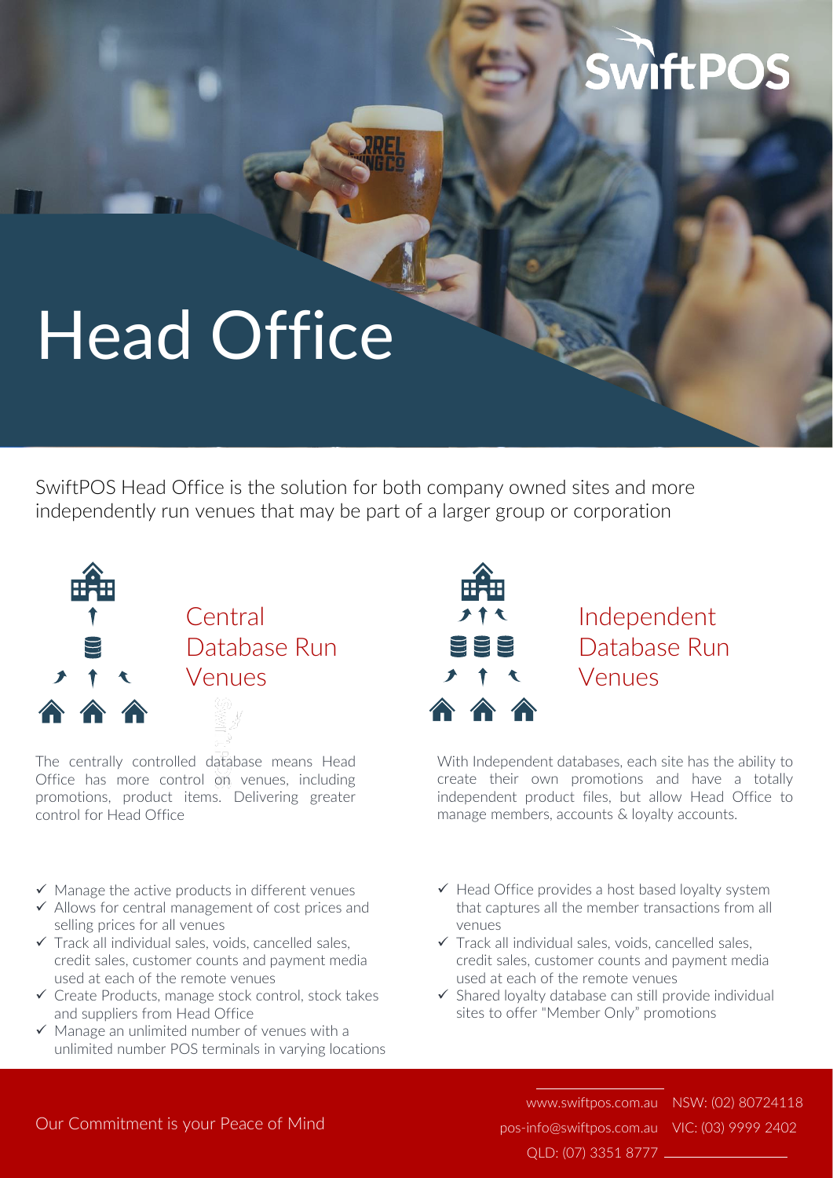### **SwiftPOS**

## Head Office

SwiftPOS Head Office is the solution for both company owned sites and more independently run venues that may be part of a larger group or corporation



The centrally controlled database means Head Office has more control on venues, including promotions, product items. Delivering greater control for Head Office

- $\checkmark$  Manage the active products in different venues
- ✓ Allows for central management of cost prices and selling prices for all venues
- $\checkmark$  Track all individual sales, voids, cancelled sales, credit sales, customer counts and payment media used at each of the remote venues
- ✓ Create Products, manage stock control, stock takes and suppliers from Head Office
- $\checkmark$  Manage an unlimited number of venues with a unlimited number POS terminals in varying locations



#### Independent Database Run Venues

With Independent databases, each site has the ability to create their own promotions and have a totally independent product files, but allow Head Office to manage members, accounts & loyalty accounts.

- $\checkmark$  Head Office provides a host based loyalty system that captures all the member transactions from all venues
- $\checkmark$  Track all individual sales, voids, cancelled sales, credit sales, customer counts and payment media used at each of the remote venues
- ✓ Shared loyalty database can still provide individual sites to offer "Member Only" promotions

pos-info@swiftpos.com.au VIC: (03) 9999 2402 QLD: (07) 3351 8777

www.swiftpos.com.au NSW: (02) 80724118

#### Our Commitment is your Peace of Mind